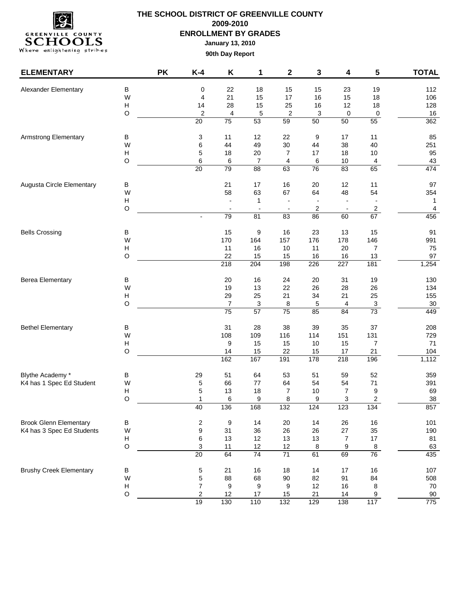

| <b>ELEMENTARY</b>              |                           | <b>PK</b> | $K-4$            | Κ               | 1         | $\mathbf 2$      | 3         | 4              | 5                | <b>TOTAL</b> |
|--------------------------------|---------------------------|-----------|------------------|-----------------|-----------|------------------|-----------|----------------|------------------|--------------|
| Alexander Elementary           | $\sf B$                   |           | 0                | 22              | 18        | 15               | 15        | 23             | 19               | 112          |
|                                | W                         |           | 4                | 21              | 15        | 17               | 16        | 15             | 18               | 106          |
|                                | $\boldsymbol{\mathsf{H}}$ |           | 14               | 28              | 15        | 25               | 16        | 12             | 18               | 128          |
|                                | O                         |           | $\boldsymbol{2}$ | 4               | 5         | $\boldsymbol{2}$ | 3         | 0              | 0                | 16           |
|                                |                           |           | 20               | 75              | 53        | 59               | 50        | 50             | 55               | 362          |
| <b>Armstrong Elementary</b>    | В                         |           | 3                | 11              | 12        | 22               | 9         | 17             | 11               | 85           |
|                                | W                         |           | $\,6$            | 44              | 49        | 30               | 44        | 38             | 40               | 251          |
|                                | H                         |           | 5                | 18              | 20        | $\overline{7}$   | 17        | 18             | $10$             | 95           |
|                                | O                         |           | 6                | 6               | 7         | 4                | 6         | 10             | 4                | 43           |
|                                |                           |           | $\overline{20}$  | 79              | 88        | 63               | 76        | 83             | 65               | 474          |
| Augusta Circle Elementary      | в                         |           |                  | 21              | 17        | 16               | 20        | 12             | 11               | 97           |
|                                | W                         |           |                  | 58              | 63        | 67               | 64        | 48             | 54               | 354          |
|                                | $\boldsymbol{\mathsf{H}}$ |           |                  |                 | 1         |                  |           |                |                  | 1            |
|                                | O                         |           |                  |                 |           |                  | 2         |                | 2                | 4            |
|                                |                           |           |                  | 79              | 81        | 83               | 86        | 60             | 67               | 456          |
| <b>Bells Crossing</b>          | $\sf B$                   |           |                  | 15              | 9         | 16               | 23        | 13             | 15               | 91           |
|                                | W                         |           |                  | 170             | 164       | 157              | 176       | 178            | 146              | 991          |
|                                | H                         |           |                  | 11              | 16        | 10               | 11        | 20             | 7                | 75           |
|                                | О                         |           |                  | 22              | 15        | 15               | 16        | 16             | 13               | 97           |
|                                |                           |           |                  | 218             | 204       | 198              | 226       | 227            | 181              | 1,254        |
| <b>Berea Elementary</b>        | В                         |           |                  | 20              | 16        | 24               | 20        | 31             | 19               | 130          |
|                                | W                         |           |                  | 19              | 13        | 22               | 26        | 28             | 26               | 134          |
|                                | H                         |           |                  | 29              | 25        | 21               | 34        | 21             | 25               | 155          |
|                                | O                         |           |                  | $\overline{7}$  | 3         | 8                | 5         | 4              | $\overline{3}$   | $30\,$       |
|                                |                           |           |                  | $\overline{75}$ | 57        | $\overline{75}$  | 85        | 84             | 73               | 449          |
| <b>Bethel Elementary</b>       | в                         |           |                  | 31              | 28        | 38               | 39        | 35             | 37               | 208          |
|                                | W                         |           |                  | 108             | 109       | 116              | 114       | 151            | 131              | 729          |
|                                | H                         |           |                  | 9               | 15        | 15               | 10        | 15             | 7                | 71           |
|                                | O                         |           |                  | 14<br>162       | 15<br>167 | 22<br>191        | 15<br>178 | 17             | 21<br>196        | 104<br>1,112 |
|                                |                           |           |                  |                 |           |                  |           | 218            |                  |              |
| Blythe Academy *               | $\sf B$                   |           | 29               | 51              | 64        | 53               | 51        | 59             | 52               | 359          |
| K4 has 1 Spec Ed Student       | W                         |           | 5                | 66              | $77$      | 64               | 54        | 54             | 71               | 391          |
|                                | H                         |           | 5                | 13              | 18        | 7                | 10        | 7              | 9                | 69           |
|                                | O                         |           | 1<br>40          | 6               | 9<br>168  | 8                | 9         | 3              | $\overline{c}$   | 38           |
|                                |                           |           |                  | 136             |           | $\overline{132}$ | 124       | 123            | 134              | 857          |
| <b>Brook Glenn Elementary</b>  | $\sf B$                   |           | $\sqrt{2}$       | 9               | 14        | 20               | 14        | 26             | $16\,$           | 101          |
| K4 has 3 Spec Ed Students      | W                         |           | 9                | 31              | 36        | 26               | 26        | 27             | 35               | 190          |
|                                | H                         |           | 6                | 13              | 12        | 13               | 13        | $\overline{7}$ | 17               | 81           |
|                                | $\circ$                   |           | 3                | 11              | 12        | 12               | 8         | 9              | 8                | 63           |
|                                |                           |           | 20               | 64              | 74        | 71               | 61        | 69             | 76               | 435          |
| <b>Brushy Creek Elementary</b> | B                         |           | 5                | 21              | 16        | 18               | $14$      | 17             | $16\,$           | 107          |
|                                | W                         |           | 5                | 88              | 68        | $90\,$           | 82        | 91             | 84               | 508          |
|                                | $\boldsymbol{\mathsf{H}}$ |           | $\boldsymbol{7}$ | 9               | 9         | 9                | 12        | 16             | 8                | 70           |
|                                | $\circ$                   |           | $\overline{c}$   | 12              | 17        | 15               | 21        | 14             | $\boldsymbol{9}$ | 90           |
|                                |                           |           | 19               | 130             | 110       | 132              | 129       | 138            | 117              | 775          |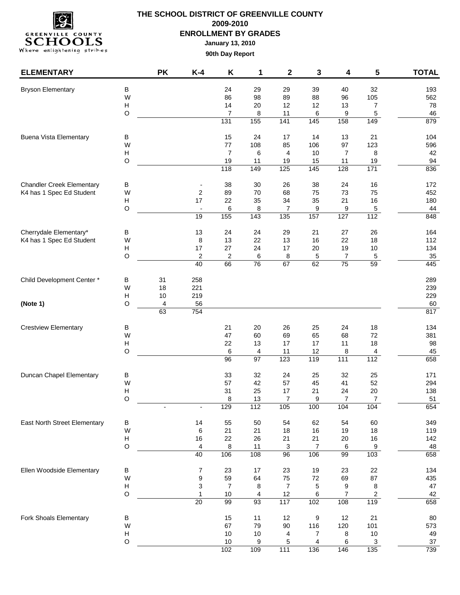

| <b>ELEMENTARY</b>                |              | <b>PK</b> | $K-4$                        | Κ                    | 1        | 2              | 3                     | 4                    | $5\phantom{a}$ | <b>TOTAL</b>  |
|----------------------------------|--------------|-----------|------------------------------|----------------------|----------|----------------|-----------------------|----------------------|----------------|---------------|
| <b>Bryson Elementary</b>         | B            |           |                              | 24                   | 29       | 29             | 39                    | 40                   | 32             | 193           |
|                                  | W            |           |                              | 86                   | 98       | 89             | 88                    | 96                   | 105            | 562           |
|                                  | H            |           |                              | 14                   | 20       | 12             | 12                    | 13                   | 7              | 78            |
|                                  | $\circ$      |           |                              | $\overline{7}$       | 8        | 11             | 6                     | 9                    | 5              | 46            |
|                                  |              |           |                              | 131                  | 155      | 141            | 145                   | 158                  | 149            | 879           |
| <b>Buena Vista Elementary</b>    | $\sf B$      |           |                              | 15                   | 24       | 17             | 14                    | 13                   | 21             | 104           |
|                                  | W            |           |                              | 77                   | 108      | 85             | 106                   | 97                   | 123            | 596           |
|                                  | H<br>$\circ$ |           |                              | $\overline{7}$<br>19 | 6<br>11  | 4<br>19        | $10$<br>15            | $\overline{7}$<br>11 | 8<br>19        | 42<br>94      |
|                                  |              |           |                              | 118                  | 149      | 125            | 145                   | 128                  | 171            | 836           |
| <b>Chandler Creek Elementary</b> | $\sf B$      |           | $\qquad \qquad \blacksquare$ | 38                   | 30       | 26             | 38                    | 24                   | 16             | 172           |
| K4 has 1 Spec Ed Student         | W            |           | 2                            | 89                   | 70       | 68             | 75                    | 73                   | 75             | 452           |
|                                  | H            |           | 17                           | 22                   | 35       | 34             | 35                    | 21                   | 16             | 180           |
|                                  | $\circ$      |           | $\overline{\phantom{a}}$     | 6                    | 8        | $\overline{7}$ | 9                     | 9                    | 5              | 44            |
|                                  |              |           | 19                           | 155                  | 143      | 135            | 157                   | 127                  | 112            | 848           |
| Cherrydale Elementary*           | $\sf B$      |           | 13                           | 24                   | 24       | 29             | 21                    | 27                   | 26             | 164           |
| K4 has 1 Spec Ed Student         | W            |           | 8                            | 13                   | 22       | 13             | 16                    | 22                   | 18             | 112           |
|                                  | Н            |           | 17                           | 27                   | 24       | 17             | 20                    | 19                   | 10             | 134           |
|                                  | $\circ$      |           | $\overline{2}$               | $\sqrt{2}$           | 6        | 8              | 5                     | 7                    | $\overline{5}$ | $35\,$        |
|                                  |              |           | 40                           | 66                   | 76       | 67             | 62                    | $\overline{75}$      | 59             | 445           |
| Child Development Center *       | $\sf B$      | 31        | 258                          |                      |          |                |                       |                      |                | 289           |
|                                  | W<br>H       | 18        | 221<br>219                   |                      |          |                |                       |                      |                | 239<br>229    |
| (Note 1)                         | $\circ$      | 10<br>4   | 56                           |                      |          |                |                       |                      |                | 60            |
|                                  |              | 63        | 754                          |                      |          |                |                       |                      |                | 817           |
| <b>Crestview Elementary</b>      | B            |           |                              | 21                   | 20       | 26             | 25                    | 24                   | 18             | 134           |
|                                  | W            |           |                              | 47                   | 60       | 69             | 65                    | 68                   | $72\,$         | 381           |
|                                  | H            |           |                              | 22                   | 13       | 17             | 17                    | 11                   | 18             | 98            |
|                                  | $\circ$      |           |                              | 6                    | 4        | 11             | 12                    | 8                    | 4              | 45            |
|                                  |              |           |                              | 96                   | 97       | 123            | 119                   | 111                  | 112            | 658           |
| Duncan Chapel Elementary         | $\sf B$      |           |                              | 33                   | 32       | 24             | 25                    | 32                   | 25             | 171           |
|                                  | W            |           |                              | 57                   | 42       | 57             | 45                    | 41                   | 52             | 294           |
|                                  | н            |           |                              | 31                   | 25       | 17             | 21                    | 24                   | 20             | 138           |
|                                  | $\circ$      |           |                              | 8                    | 13       | $\overline{7}$ | 9                     | 7                    | 7              | 51            |
|                                  |              |           | $\overline{\phantom{a}}$     | 129                  | 112      | 105            | 100                   | 104                  | 104            | 654           |
| East North Street Elementary     | $\sf B$      |           | 14                           | 55                   | 50       | 54             | 62                    | 54                   | 60             | 349           |
|                                  | W<br>H       |           | 6<br>16                      | 21<br>22             | 21<br>26 | 18<br>21       | 16<br>21              | 19<br>20             | $18$<br>$16\,$ | 119<br>142    |
|                                  | $\circ$      |           | $\overline{\mathbf{4}}$      | 8                    | 11       | 3              | $\overline{7}$        | $\,6$                | $9\,$          | 48            |
|                                  |              |           | 40                           | 106                  | 108      | 96             | 106                   | 99                   | 103            | 658           |
| Ellen Woodside Elementary        | $\sf B$      |           | 7                            | 23                   | 17       | 23             | 19                    | 23                   | 22             | 134           |
|                                  | W            |           | 9                            | 59                   | 64       | 75             | $72\,$                | 69                   | 87             | 435           |
|                                  | н            |           | 3                            | $\overline{7}$       | 8        | $\overline{7}$ | 5                     | 9                    | 8              | $47\,$        |
|                                  | $\circ$      |           | $\mathbf{1}$                 | 10                   | 4        | 12             | 6                     | $\overline{7}$       | 2              | 42            |
|                                  |              |           | 20                           | 99                   | 93       | 117            | 102                   | 108                  | 119            | 658           |
| Fork Shoals Elementary           | $\sf B$      |           |                              | 15                   | 11       | 12             | 9                     | 12                   | 21             | 80            |
|                                  | W            |           |                              | 67                   | 79       | $90\,$         | 116                   | 120                  | 101            | 573           |
|                                  | H            |           |                              | $10$                 | $10$     | 4              | $\overline{7}$        | 8                    | $10$           | 49            |
|                                  | $\circ$      |           |                              | $10$<br>102          | 9<br>109 | 5              | $\overline{4}$<br>136 | 6<br>146             | 3<br>135       | $37\,$<br>739 |
|                                  |              |           |                              |                      |          | 111            |                       |                      |                |               |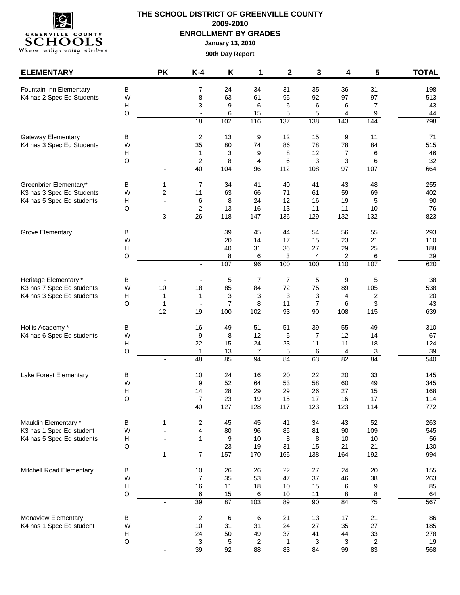

| <b>ELEMENTARY</b>         |              | <b>PK</b>      | $K-4$                         | Κ        | 1              | $\mathbf 2$ | 3                   | 4                     | 5                              | <b>TOTAL</b> |
|---------------------------|--------------|----------------|-------------------------------|----------|----------------|-------------|---------------------|-----------------------|--------------------------------|--------------|
| Fountain Inn Elementary   | $\sf B$      |                | $\overline{7}$                | 24       | 34             | 31          | 35                  | 36                    | 31                             | 198          |
| K4 has 2 Spec Ed Students | W            |                | 8                             | 63       | 61             | 95          | 92                  | 97                    | 97                             | 513          |
|                           | Н            |                | 3                             | 9        | 6              | 6           | 6                   | 6                     | $\overline{7}$                 | 43           |
|                           | $\circ$      |                |                               | 6        | 15             | 5           | 5                   | 4                     | 9                              | 44           |
|                           |              |                | 18                            | 102      | 116            | 137         | 138                 | 143                   | 144                            | 798          |
| Gateway Elementary        | B            |                | 2                             | 13       | 9              | 12          | 15                  | 9                     | 11                             | 71           |
| K4 has 3 Spec Ed Students | W            |                | 35                            | 80       | 74             | 86          | 78                  | 78                    | 84                             | 515          |
|                           | Н<br>$\circ$ |                | $\mathbf 1$<br>$\overline{c}$ | 3<br>8   | 9<br>4         | 8<br>6      | 12<br>3             | $\overline{7}$<br>3   | 6<br>6                         | 46<br>32     |
|                           |              | $\overline{a}$ | 40                            | 104      | 96             | 112         | 108                 | 97                    | 107                            | 664          |
| Greenbrier Elementary*    | В            | 1              | 7                             | 34       | 41             | 40          | 41                  | 43                    | 48                             | 255          |
| K3 has 3 Spec Ed Students | W            | $\overline{c}$ | 11                            | 63       | 66             | 71          | 61                  | 59                    | 69                             | 402          |
| K4 has 5 Spec Ed students | Н            | ÷,             | 6                             | 8        | 24             | 12          | 16                  | 19                    | 5                              | 90           |
|                           | $\circ$      | $\blacksquare$ | 2                             | 13       | 16             | 13          | 11                  | 11                    | 10                             | 76           |
|                           |              | 3              | 26                            | 118      | 147            | 136         | 129                 | 132                   | 132                            | 823          |
| <b>Grove Elementary</b>   | B            |                |                               | 39       | 45             | 44          | 54                  | 56                    | 55                             | 293          |
|                           | W            |                |                               | 20       | 14             | 17          | 15                  | 23                    | 21                             | 110          |
|                           | н            |                |                               | 40       | 31             | 36          | 27                  | 29                    | 25                             | 188          |
|                           | $\circ$      |                |                               | 8<br>107 | 6<br>96        | 3<br>100    | 4<br>100            | $\overline{2}$<br>110 | 6<br>107                       | 29<br>620    |
|                           |              |                |                               |          |                |             |                     |                       |                                |              |
| Heritage Elementary *     | B            |                |                               | 5        | $\overline{7}$ | 7           | 5                   | 9                     | 5                              | 38           |
| K3 has 7 Spec Ed students | W            | 10             | 18                            | 85       | 84             | 72          | 75                  | 89                    | 105                            | 538          |
| K4 has 3 Spec Ed students | Н<br>$\circ$ | 1<br>1         | 1<br>$\overline{\phantom{a}}$ | 3<br>7   | 3<br>8         | 3<br>11     | 3<br>$\overline{7}$ | 4<br>6                | $\overline{2}$<br>$\mathbf{3}$ | 20<br>43     |
|                           |              | 12             | 19                            | 100      | 102            | 93          | 90                  | 108                   | 115                            | 639          |
| Hollis Academy *          | $\sf B$      |                | 16                            | 49       | 51             | 51          | 39                  | 55                    | 49                             | 310          |
| K4 has 6 Spec Ed students | W            |                | 9                             | 8        | 12             | 5           | $\overline{7}$      | 12                    | 14                             | 67           |
|                           | Н            |                | 22                            | 15       | 24             | 23          | 11                  | 11                    | 18                             | 124          |
|                           | $\circ$      |                | $\mathbf{1}$                  | 13       | 7              | 5           | 6                   | 4                     | 3                              | 39           |
|                           |              |                | 48                            | 85       | 94             | 84          | 63                  | 82                    | 84                             | 540          |
| Lake Forest Elementary    | B            |                | 10                            | 24       | 16             | 20          | 22                  | 20                    | 33                             | 145          |
|                           | W            |                | 9                             | 52       | 64             | 53          | 58                  | 60                    | 49                             | 345          |
|                           | Н<br>O       |                | 14<br>$\overline{7}$          | 28<br>23 | 29<br>19       | 29<br>15    | 26<br>17            | 27<br>16              | 15<br>17                       | 168<br>114   |
|                           |              |                | 40                            | 127      | 128            | 117         | 123                 | 123                   | $\frac{114}{114}$              | 772          |
| Mauldin Elementary *      | $\sf B$      | 1              | 2                             | 45       | 45             | 41          | 34                  | 43                    | 52                             | 263          |
| K3 has 1 Spec Ed student  | W            |                | 4                             | 80       | 96             | 85          | 81                  | 90                    | 109                            | 545          |
| K4 has 5 Spec Ed students | Н            |                | 1                             | 9        | 10             | 8           | 8                   | 10                    | $10$                           | 56           |
|                           | $\circ$      |                | $\overline{\phantom{a}}$      | 23       | 19             | 31          | 15                  | 21                    | 21                             | 130          |
|                           |              | $\mathbf{1}$   | $\overline{7}$                | 157      | 170            | 165         | 138                 | 164                   | 192                            | 994          |
| Mitchell Road Elementary  | $\sf B$      |                | 10                            | 26       | 26             | 22          | 27                  | 24                    | 20                             | 155          |
|                           | W            |                | $\overline{7}$                | 35       | 53             | 47          | 37                  | 46                    | 38                             | 263          |
|                           | Н            |                | 16                            | 11       | 18             | 10          | 15                  | 6                     | 9                              | 85           |
|                           | $\circ$      |                | 6                             | 15       | 6              | 10          | 11                  | 8                     | $\bf 8$                        | 64           |
|                           |              | $\blacksquare$ | 39                            | 87       | 103            | 89          | 90                  | 84                    | 75                             | 567          |
| Monaview Elementary       | $\sf B$      |                | $\boldsymbol{2}$              | $\,6\,$  | 6              | 21          | 13                  | 17                    | 21                             | 86           |
| K4 has 1 Spec Ed student  | W<br>Н       |                | 10<br>24                      | 31<br>50 | 31<br>49       | 24<br>37    | 27<br>41            | 35                    | 27<br>33                       | 185<br>278   |
|                           | $\circ$      |                | 3                             | 5        | $\overline{c}$ | 1           | 3                   | 44<br>3               | $\overline{2}$                 | 19           |
|                           |              |                | 39                            | 92       | 88             | 83          | 84                  | 99                    | 83                             | 568          |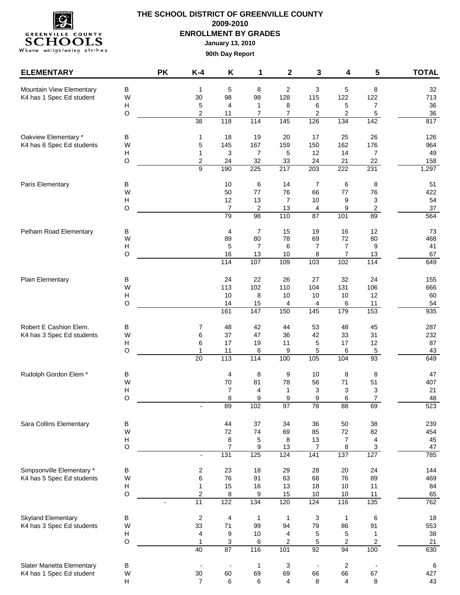

| <b>ELEMENTARY</b>          |                                          | <b>PK</b>                | $K-4$                            | Κ                        | 1                     | $\mathbf 2$    | 3                               | 4                       | 5                        | <b>TOTAL</b> |
|----------------------------|------------------------------------------|--------------------------|----------------------------------|--------------------------|-----------------------|----------------|---------------------------------|-------------------------|--------------------------|--------------|
| Mountain View Elementary   | B                                        |                          | $\mathbf 1$                      | 5                        | 8                     | 2              | $\mathsf 3$                     | 5                       | 8                        | 32           |
| K4 has 1 Spec Ed student   | W                                        |                          | 30                               | 98                       | 98                    | 128            | 115                             | 122                     | 122                      | 713          |
|                            | Н                                        |                          | 5                                | $\overline{4}$           | $\mathbf{1}$          | 8              | 6                               | 5                       | 7                        | 36           |
|                            | $\mathsf O$                              |                          | $\overline{2}$                   | 11                       | 7                     | $\overline{7}$ | 2                               | 2                       | 5                        | 36           |
|                            |                                          |                          | 38                               | 118                      | 114                   | 145            | 126                             | 134                     | 142                      | 817          |
| Oakview Elementary *       | В                                        |                          | 1                                | 18                       | 19                    | 20             | 17                              | 25                      | 26                       | 126          |
| K4 has 6 Spec Ed students  | W                                        |                          | 5                                | 145                      | 167                   | 159            | 150                             | 162                     | 176                      | 964          |
|                            | Н                                        |                          | 1                                | 3                        | $\overline{7}$        | $\sqrt{5}$     | 12                              | 14                      | $\overline{7}$           | 49           |
|                            | $\mathsf O$                              |                          | $\overline{c}$<br>$\overline{9}$ | 24<br>190                | 32<br>225             | 33<br>217      | 24<br>203                       | 21<br>222               | 22<br>231                | 158<br>1,297 |
| Paris Elementary           | В                                        |                          |                                  | 10                       | 6                     | 14             | $\overline{7}$                  | 6                       | 8                        | 51           |
|                            | W                                        |                          |                                  | 50                       | 77                    | 76             | 66                              | $77$                    | 76                       | 422          |
|                            | Н                                        |                          |                                  | 12                       | 13                    | 7              | 10 <sup>°</sup>                 | 9                       | 3                        | 54           |
|                            | $\mathsf O$                              |                          |                                  | $\overline{7}$           | $\overline{2}$        | 13             | 4                               | 9                       | $\overline{\mathbf{c}}$  | 37           |
|                            |                                          |                          |                                  | 79                       | 98                    | 110            | 87                              | 101                     | 89                       | 564          |
| Pelham Road Elementary     | В                                        |                          |                                  | 4                        | 7                     | 15             | 19                              | 16                      | 12                       | 73           |
|                            | W<br>H                                   |                          |                                  | 89<br>5                  | 80<br>$\overline{7}$  | 78<br>6        | 69<br>$\overline{7}$            | 72<br>$\overline{7}$    | 80<br>9                  | 468<br>41    |
|                            | $\circ$                                  |                          |                                  | 16                       | 13                    | 10             | 8                               | 7                       | 13                       | 67           |
|                            |                                          |                          |                                  | 114                      | 107                   | 109            | 103                             | 102                     | 114                      | 649          |
| <b>Plain Elementary</b>    | В                                        |                          |                                  | 24                       | 22                    | 26             | 27                              | 32                      | 24                       | 155          |
|                            | W                                        |                          |                                  | 113                      | 102                   | 110            | 104                             | 131                     | 106                      | 666          |
|                            | Н                                        |                          |                                  | 10                       | 8                     | 10             | 10                              | 10                      | 12                       | 60           |
|                            | $\circ$                                  |                          |                                  | 14                       | 15                    | 4              | 4                               | 6                       | 11                       | 54           |
|                            |                                          |                          |                                  | 161                      | $\frac{1}{147}$       | 150            | $\frac{145}{145}$               | 179                     | 153                      | 935          |
| Robert E Cashion Elem.     | В                                        |                          | 7                                | 48                       | 42                    | 44             | 53                              | 48                      | 45                       | 287          |
| K4 has 3 Spec Ed students  | W                                        |                          | 6                                | 37                       | 47                    | 36             | 42                              | 33                      | 31                       | 232          |
|                            | $\boldsymbol{\mathsf{H}}$                |                          | 6                                | 17                       | 19                    | 11             | 5                               | 17                      | 12                       | 87           |
|                            | O                                        |                          | 1<br>20                          | 11<br>113                | 6<br>114              | 9<br>100       | 5<br>105                        | 6<br>104                | $\,$ 5 $\,$<br>93        | 43<br>649    |
| Rudolph Gordon Elem *      | В                                        |                          |                                  | 4                        | 8                     | 9              | 10                              | 8                       | 8                        | 47           |
|                            | W                                        |                          |                                  | 70                       | 81                    | 78             | 56                              | 71                      | 51                       | 407          |
|                            | H                                        |                          |                                  | $\overline{7}$           | 4                     | 1              | 3                               | 3                       | 3                        | 21           |
|                            | O                                        |                          |                                  | 8                        | 9                     | 9              | 9                               | 6                       | $\overline{7}$           | 48           |
|                            |                                          |                          |                                  | 89                       | 102                   | 97             | 78                              | 88                      | 69                       | 523          |
| Sara Collins Elementary    | $\sf B$                                  |                          |                                  | 44                       | 37                    | 34             | 36                              | 50                      | 38                       | 239          |
|                            | W                                        |                          |                                  | 72                       | 74                    | 69             | 85                              | 72                      | 82                       | 454          |
|                            | $\boldsymbol{\mathsf{H}}$<br>$\mathsf O$ |                          |                                  | 8<br>$\overline{7}$      | 5<br>$\boldsymbol{9}$ | 8<br>13        | 13<br>$\overline{7}$            | $\overline{7}$<br>8     | 4<br>$\sqrt{3}$          | 45<br>47     |
|                            |                                          |                          | $\blacksquare$                   | 131                      | 125                   | 124            | 141                             | 137                     | 127                      | 785          |
| Simpsonville Elementary *  | B                                        |                          | $\overline{\mathbf{c}}$          | 23                       | 18                    | 29             | 28                              | 20                      | 24                       | 144          |
| K4 has 5 Spec Ed students  | W                                        |                          | 6                                | 76                       | 91                    | 63             | 68                              | 76                      | 89                       | 469          |
|                            | $\boldsymbol{\mathsf{H}}$                |                          | $\mathbf{1}$                     | 15                       | 16                    | 13             | 18                              | 10                      | 11                       | 84           |
|                            | $\mathsf O$                              | $\overline{\phantom{a}}$ | $\overline{2}$<br>11             | 8<br>122                 | 9<br>134              | 15<br>120      | 10<br>124                       | 10<br>116               | 11<br>135                | 65<br>762    |
|                            |                                          |                          |                                  |                          |                       |                |                                 |                         |                          |              |
| <b>Skyland Elementary</b>  | B                                        |                          | $\sqrt{2}$                       | 4                        | $\mathbf{1}$          | $\mathbf{1}$   | $\ensuremath{\mathsf{3}}$<br>79 | $\mathbf{1}$            | $\,6\,$                  | 18           |
| K4 has 3 Spec Ed students  | W<br>H                                   |                          | 33<br>4                          | 71<br>9                  | 99<br>10              | 94<br>4        | 5                               | 86                      | 91<br>1                  | 553<br>38    |
|                            | $\hbox{O}$                               |                          | $\mathbf{1}$                     | 3                        | 6                     | 2              | 5                               | 5<br>$\overline{c}$     | $\overline{c}$           | 21           |
|                            |                                          |                          | 40                               | 87                       | 116                   | 101            | 92                              | 94                      | 100                      | 630          |
| Slater Marietta Elementary | B                                        |                          |                                  | $\overline{\phantom{a}}$ | $\mathbf{1}$          | 3              | $\overline{\phantom{a}}$        | $\overline{\mathbf{c}}$ | $\overline{\phantom{a}}$ | $\,6\,$      |
| K4 has 1 Spec Ed student   | W                                        |                          | $30\,$                           | 60                       | 69                    | 69             | 66                              | 66                      | 67                       | 427          |
|                            | н                                        |                          | $\overline{7}$                   | 6                        | 6                     | 4              | 8                               | 4                       | 8                        | 43           |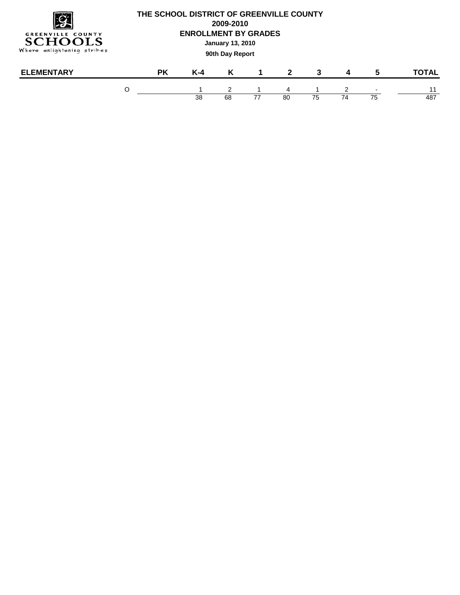

| LEMENTARY<br>FΙ | <b>PK</b> | r -4 | K  |    |    |    |                     | $\blacksquare$ | ነTAL |
|-----------------|-----------|------|----|----|----|----|---------------------|----------------|------|
|                 |           |      |    |    | 4  |    |                     |                |      |
|                 |           | 38   | 68 | 77 | 80 | 75 | $\rightarrow$<br>74 | 75             | 487  |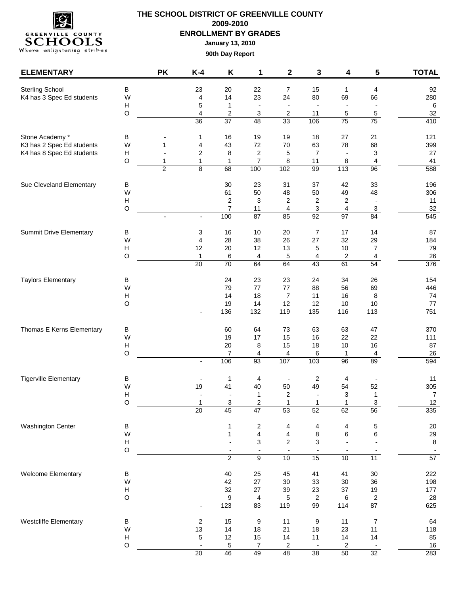

| <b>ELEMENTARY</b>              |                           | <b>PK</b>           | $K-4$                    | Κ                          | 1                                       | $\mathbf 2$                      | 3                              | 4                             | 5                  | <b>TOTAL</b>    |
|--------------------------------|---------------------------|---------------------|--------------------------|----------------------------|-----------------------------------------|----------------------------------|--------------------------------|-------------------------------|--------------------|-----------------|
| Sterling School                | $\sf B$                   |                     | 23                       | 20                         | 22                                      | 7                                | 15                             | 1                             | 4                  | 92              |
| K4 has 3 Spec Ed students      | W                         |                     | 4                        | 14                         | 23                                      | 24                               | 80                             | 69                            | 66                 | 280             |
|                                | Н<br>$\circ$              |                     | 5<br>4                   | $\mathbf{1}$<br>$\sqrt{2}$ | $\overline{\phantom{a}}$<br>$\mathsf 3$ | $\blacksquare$<br>$\overline{c}$ | $\overline{\phantom{a}}$<br>11 | $\overline{\phantom{a}}$<br>5 | 5                  | $\,6\,$<br>32   |
|                                |                           |                     | 36                       | 37                         | 48                                      | 33                               | 106                            | 75                            | 75                 | 410             |
| Stone Academy *                | $\sf B$                   |                     | 1                        | 16                         | 19                                      | 19                               | 18                             | 27                            | 21                 | 121             |
| K3 has 2 Spec Ed students      | W                         | 1                   | 4                        | 43                         | 72                                      | 70                               | 63                             | 78                            | 68                 | 399             |
| K4 has 8 Spec Ed students      | Н                         |                     | 2                        | 8                          | $\overline{c}$                          | 5                                | $\overline{7}$                 | $\overline{\phantom{a}}$      | 3                  | 27              |
|                                | $\circ$                   | 1<br>$\overline{2}$ | $\mathbf{1}$<br>8        | $\mathbf{1}$<br>68         | $\overline{7}$<br>100                   | 8<br>102                         | 11<br>99                       | 8<br>113                      | 4<br>96            | 41<br>588       |
| Sue Cleveland Elementary       | В                         |                     |                          | 30                         | 23                                      | 31                               | 37                             | 42                            | 33                 | 196             |
|                                | W                         |                     |                          | 61                         | 50                                      | 48                               | 50                             | 49                            | 48                 | 306             |
|                                | $\boldsymbol{\mathsf{H}}$ |                     |                          | 2                          | 3                                       | $\overline{\mathbf{c}}$          | 2                              | $\overline{\mathbf{c}}$       |                    | 11              |
|                                | $\circ$                   | $\overline{a}$      | $\overline{\phantom{a}}$ | $\overline{7}$<br>100      | 11<br>87                                | 4<br>85                          | 3<br>92                        | 4<br>97                       | $\mathbf{3}$<br>84 | 32<br>545       |
| <b>Summit Drive Elementary</b> | $\sf B$                   |                     | 3                        | 16                         | 10                                      | 20                               | $\boldsymbol{7}$               | 17                            | 14                 | 87              |
|                                | W                         |                     | 4                        | 28                         | 38                                      | 26                               | 27                             | 32                            | 29                 | 184             |
|                                | Н                         |                     | 12                       | 20                         | 12                                      | 13                               | 5                              | $10$                          | $\overline{7}$     | 79              |
|                                | $\circ$                   |                     | $\mathbf{1}$             | 6<br>70                    | 4                                       | 5                                | 4                              | 2                             | 4<br>54            | 26<br>376       |
|                                |                           |                     | $\overline{20}$          |                            | 64                                      | 64                               | 43                             | 61                            |                    |                 |
| <b>Taylors Elementary</b>      | $\sf B$                   |                     |                          | 24                         | 23                                      | 23                               | 24                             | 34                            | 26                 | 154             |
|                                | W<br>Н                    |                     |                          | 79<br>14                   | 77<br>18                                | $77 \,$<br>$\overline{7}$        | 88<br>11                       | 56<br>16                      | 69<br>8            | 446<br>74       |
|                                | $\circ$                   |                     |                          | 19                         | 14                                      | 12                               | 12                             | $10$                          | 10                 | 77              |
|                                |                           |                     | $\overline{\phantom{a}}$ | 136                        | 132                                     | 119                              | 135                            | 116                           | 113                | 751             |
| Thomas E Kerns Elementary      | $\sf B$                   |                     |                          | 60                         | 64                                      | 73                               | 63                             | 63                            | 47                 | 370             |
|                                | W                         |                     |                          | 19                         | 17                                      | 15                               | 16                             | 22                            | 22                 | 111             |
|                                | Н<br>$\circ$              |                     |                          | 20<br>7                    | 8<br>4                                  | 15                               | 18                             | $10$<br>1                     | 16                 | 87<br>26        |
|                                |                           |                     | $\overline{a}$           | 106                        | 93                                      | 4<br>107                         | 6<br>103                       | 96                            | 4<br>89            | 594             |
| <b>Tigerville Elementary</b>   | В                         |                     |                          | $\mathbf{1}$               | 4                                       | $\overline{\phantom{a}}$         | $\overline{c}$                 | 4                             |                    | 11              |
|                                | W                         |                     | 19                       | 41                         | 40                                      | 50                               | 49                             | 54                            | 52                 | 305             |
|                                | $\boldsymbol{\mathsf{H}}$ |                     |                          |                            | 1                                       | $\overline{2}$                   | $\blacksquare$                 | 3                             | 1                  | $\overline{7}$  |
|                                | $\Omega$                  |                     |                          | 3<br>45                    | 2                                       | 1                                | $\mathbf{1}$                   | 1                             | 3                  | 12              |
|                                |                           |                     | $\overline{20}$          |                            | $\overline{47}$                         | 53                               | 52                             | 62                            | 56                 | 335             |
| <b>Washington Center</b>       | $\sf B$                   |                     |                          | 1                          | $\sqrt{2}$                              | 4                                | $\overline{\mathcal{A}}$       | 4                             | $\,$ 5 $\,$        | 20              |
|                                | W<br>Н                    |                     |                          | $\mathbf{1}$               | $\overline{\mathbf{4}}$<br>3            | 4<br>2                           | 8<br>3                         | 6                             | 6                  | 29<br>$\,8\,$   |
|                                | $\circ$                   |                     |                          | $\overline{2}$             | $\overline{\phantom{a}}$<br>9           | $\overline{\phantom{a}}$<br>10   | $\overline{\phantom{a}}$<br>15 | 10                            | $\overline{11}$    | $\overline{57}$ |
|                                |                           |                     |                          |                            |                                         |                                  |                                |                               |                    |                 |
| Welcome Elementary             | $\sf B$<br>W              |                     |                          | 40<br>42                   | 25<br>27                                | 45<br>30                         | 41<br>33                       | 41<br>30                      | $30\,$<br>36       | 222<br>198      |
|                                | Н                         |                     |                          | 32                         | 27                                      | 39                               | 23                             | 37                            | $19$               | 177             |
|                                | $\circ$                   |                     |                          | 9                          | $\overline{4}$                          | 5                                | $\overline{\mathbf{c}}$        | 6                             | $\overline{2}$     | 28              |
|                                |                           |                     | $\overline{\phantom{a}}$ | 123                        | 83                                      | 119                              | 99                             | 114                           | 87                 | 625             |
| Westcliffe Elementary          | $\sf B$                   |                     | 2                        | 15                         | 9                                       | 11                               | 9                              | 11                            | $\overline{7}$     | 64              |
|                                | W<br>Н                    |                     | 13<br>5                  | 14<br>12                   | 18<br>15                                | 21<br>14                         | 18<br>11                       | 23<br>14                      | 11<br>14           | 118<br>85       |
|                                | $\circ$                   |                     |                          | 5                          | $\overline{7}$                          | 2                                | $\overline{\phantom{a}}$       | 2                             |                    | 16              |
|                                |                           |                     | 20                       | 46                         | 49                                      | 48                               | 38                             | 50                            | 32                 | 283             |